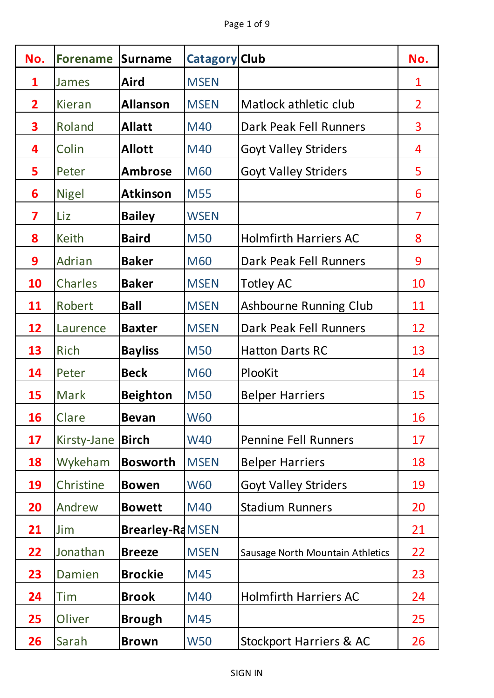| No.                     | <b>Forename</b> | <b>Surname</b>         | <b>Catagory Club</b> |                                  | No.            |
|-------------------------|-----------------|------------------------|----------------------|----------------------------------|----------------|
| $\mathbf{1}$            | James           | <b>Aird</b>            | <b>MSEN</b>          |                                  | $\mathbf 1$    |
| $\overline{\mathbf{2}}$ | <b>Kieran</b>   | <b>Allanson</b>        | <b>MSEN</b>          | Matlock athletic club            | $\overline{2}$ |
| 3                       | Roland          | <b>Allatt</b>          | M40                  | Dark Peak Fell Runners           | 3              |
| 4                       | Colin           | <b>Allott</b>          | M40                  | <b>Goyt Valley Striders</b>      | 4              |
| 5                       | Peter           | <b>Ambrose</b>         | <b>M60</b>           | <b>Goyt Valley Striders</b>      | 5              |
| 6                       | <b>Nigel</b>    | <b>Atkinson</b>        | <b>M55</b>           |                                  | 6              |
| 7                       | Liz             | <b>Bailey</b>          | <b>WSEN</b>          |                                  | $\overline{7}$ |
| 8                       | Keith           | <b>Baird</b>           | <b>M50</b>           | <b>Holmfirth Harriers AC</b>     | 8              |
| 9                       | Adrian          | <b>Baker</b>           | <b>M60</b>           | Dark Peak Fell Runners           | 9              |
| 10                      | Charles         | <b>Baker</b>           | <b>MSEN</b>          | <b>Totley AC</b>                 | 10             |
| 11                      | Robert          | <b>Ball</b>            | <b>MSEN</b>          | Ashbourne Running Club           | 11             |
| 12                      | Laurence        | <b>Baxter</b>          | <b>MSEN</b>          | Dark Peak Fell Runners           | 12             |
| 13                      | Rich            | <b>Bayliss</b>         | <b>M50</b>           | <b>Hatton Darts RC</b>           | 13             |
| 14                      | Peter           | <b>Beck</b>            | <b>M60</b>           | PlooKit                          | 14             |
| 15                      | Mark            | <b>Beighton</b>        | <b>M50</b>           | <b>Belper Harriers</b>           | 15             |
| 16                      | Clare           | <b>Bevan</b>           | <b>W60</b>           |                                  | 16             |
| 17                      | Kirsty-Jane     | <b>Birch</b>           | <b>W40</b>           | <b>Pennine Fell Runners</b>      | 17             |
| 18                      | Wykeham         | <b>Bosworth</b>        | <b>MSEN</b>          | <b>Belper Harriers</b>           | 18             |
| 19                      | Christine       | <b>Bowen</b>           | <b>W60</b>           | <b>Goyt Valley Striders</b>      | 19             |
| 20                      | Andrew          | <b>Bowett</b>          | M40                  | <b>Stadium Runners</b>           | 20             |
| 21                      | Jim             | <b>Brearley-RdMSEN</b> |                      |                                  | 21             |
| 22                      | Jonathan        | <b>Breeze</b>          | <b>MSEN</b>          | Sausage North Mountain Athletics | 22             |
| 23                      | Damien          | <b>Brockie</b>         | M45                  |                                  | 23             |
| 24                      | Tim             | <b>Brook</b>           | M40                  | <b>Holmfirth Harriers AC</b>     | 24             |
| 25                      | Oliver          | <b>Brough</b>          | M45                  |                                  | 25             |
| 26                      | Sarah           | <b>Brown</b>           | <b>W50</b>           | Stockport Harriers & AC          | 26             |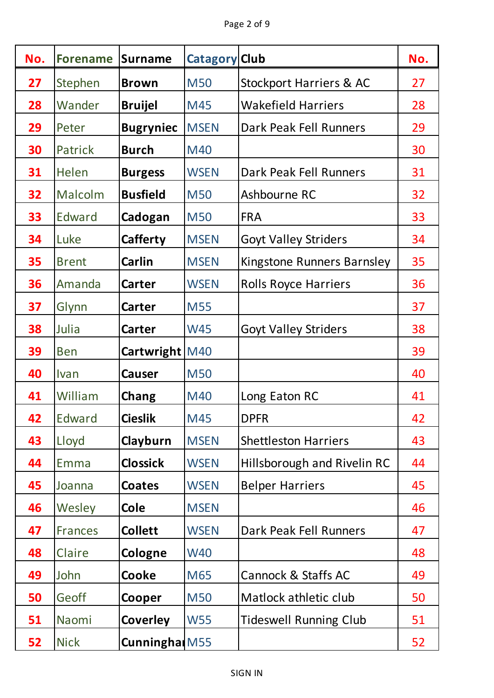| No. | <b>Forename</b> | <b>Surname</b>   | <b>Catagory Club</b> |                                    | No. |
|-----|-----------------|------------------|----------------------|------------------------------------|-----|
| 27  | Stephen         | <b>Brown</b>     | <b>M50</b>           | <b>Stockport Harriers &amp; AC</b> | 27  |
| 28  | Wander          | <b>Bruijel</b>   | M45                  | <b>Wakefield Harriers</b>          | 28  |
| 29  | Peter           | <b>Bugryniec</b> | <b>MSEN</b>          | Dark Peak Fell Runners             | 29  |
| 30  | Patrick         | <b>Burch</b>     | M40                  |                                    | 30  |
| 31  | Helen           | <b>Burgess</b>   | <b>WSEN</b>          | Dark Peak Fell Runners             | 31  |
| 32  | Malcolm         | <b>Busfield</b>  | <b>M50</b>           | Ashbourne RC                       | 32  |
| 33  | Edward          | Cadogan          | <b>M50</b>           | <b>FRA</b>                         | 33  |
| 34  | Luke            | Cafferty         | <b>MSEN</b>          | <b>Goyt Valley Striders</b>        | 34  |
| 35  | <b>Brent</b>    | <b>Carlin</b>    | <b>MSEN</b>          | Kingstone Runners Barnsley         | 35  |
| 36  | Amanda          | <b>Carter</b>    | <b>WSEN</b>          | <b>Rolls Royce Harriers</b>        | 36  |
| 37  | Glynn           | <b>Carter</b>    | <b>M55</b>           |                                    | 37  |
| 38  | Julia           | <b>Carter</b>    | <b>W45</b>           | <b>Goyt Valley Striders</b>        | 38  |
| 39  | <b>Ben</b>      | Cartwright M40   |                      |                                    | 39  |
| 40  | Ivan            | <b>Causer</b>    | <b>M50</b>           |                                    | 40  |
| 41  | William         | Chang            | M40                  | Long Eaton RC                      | 41  |
| 42  | Edward          | <b>Cieslik</b>   | M45                  | <b>DPFR</b>                        | 42  |
| 43  | Lloyd           | Clayburn         | <b>MSEN</b>          | <b>Shettleston Harriers</b>        | 43  |
| 44  | Emma            | <b>Clossick</b>  | <b>WSEN</b>          | Hillsborough and Rivelin RC        | 44  |
| 45  | Joanna          | <b>Coates</b>    | <b>WSEN</b>          | <b>Belper Harriers</b>             | 45  |
| 46  | Wesley          | <b>Cole</b>      | <b>MSEN</b>          |                                    | 46  |
| 47  | <b>Frances</b>  | <b>Collett</b>   | <b>WSEN</b>          | Dark Peak Fell Runners             | 47  |
| 48  | Claire          | Cologne          | <b>W40</b>           |                                    | 48  |
| 49  | John            | <b>Cooke</b>     | M65                  | <b>Cannock &amp; Staffs AC</b>     | 49  |
| 50  | Geoff           | Cooper           | <b>M50</b>           | Matlock athletic club              | 50  |
| 51  | Naomi           | <b>Coverley</b>  | <b>W55</b>           | <b>Tideswell Running Club</b>      | 51  |
| 52  | <b>Nick</b>     | Cunningha M55    |                      |                                    | 52  |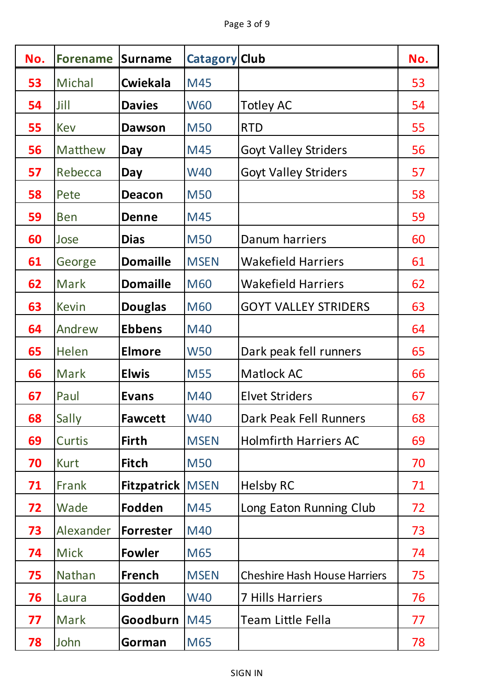| No. | <b>Forename</b> | <b>Surname</b>            | <b>Catagory Club</b> |                                     | No. |
|-----|-----------------|---------------------------|----------------------|-------------------------------------|-----|
| 53  | <b>Michal</b>   | <b>Cwiekala</b>           | M45                  |                                     | 53  |
| 54  | Jill            | <b>Davies</b>             | <b>W60</b>           | <b>Totley AC</b>                    | 54  |
| 55  | Kev             | <b>Dawson</b>             | <b>M50</b>           | <b>RTD</b>                          | 55  |
| 56  | Matthew         | Day                       | M45                  | <b>Goyt Valley Striders</b>         | 56  |
| 57  | Rebecca         | Day                       | <b>W40</b>           | <b>Goyt Valley Striders</b>         | 57  |
| 58  | Pete            | <b>Deacon</b>             | <b>M50</b>           |                                     | 58  |
| 59  | <b>Ben</b>      | <b>Denne</b>              | M45                  |                                     | 59  |
| 60  | Jose            | <b>Dias</b>               | <b>M50</b>           | Danum harriers                      | 60  |
| 61  | George          | <b>Domaille</b>           | <b>MSEN</b>          | <b>Wakefield Harriers</b>           | 61  |
| 62  | Mark            | <b>Domaille</b>           | <b>M60</b>           | <b>Wakefield Harriers</b>           | 62  |
| 63  | <b>Kevin</b>    | <b>Douglas</b>            | <b>M60</b>           | <b>GOYT VALLEY STRIDERS</b>         | 63  |
| 64  | Andrew          | <b>Ebbens</b>             | M40                  |                                     | 64  |
| 65  | Helen           | <b>Elmore</b>             | <b>W50</b>           | Dark peak fell runners              | 65  |
| 66  | Mark            | <b>Elwis</b>              | <b>M55</b>           | Matlock AC                          | 66  |
| 67  | Paul            | <b>Evans</b>              | M40                  | <b>Elvet Striders</b>               | 67  |
| 68  | Sally           | <b>Fawcett</b>            | <b>W40</b>           | Dark Peak Fell Runners              | 68  |
| 69  | <b>Curtis</b>   | <b>Firth</b>              | <b>MSEN</b>          | <b>Holmfirth Harriers AC</b>        | 69  |
| 70  | <b>Kurt</b>     | <b>Fitch</b>              | <b>M50</b>           |                                     | 70  |
| 71  | Frank           | <b>Fitzpatrick   MSEN</b> |                      | <b>Helsby RC</b>                    | 71  |
| 72  | Wade            | Fodden                    | M45                  | Long Eaton Running Club             | 72  |
| 73  | Alexander       | <b>Forrester</b>          | M40                  |                                     | 73  |
| 74  | <b>Mick</b>     | <b>Fowler</b>             | M65                  |                                     | 74  |
| 75  | Nathan          | <b>French</b>             | <b>MSEN</b>          | <b>Cheshire Hash House Harriers</b> | 75  |
| 76  | Laura           | Godden                    | <b>W40</b>           | <b>7 Hills Harriers</b>             | 76  |
| 77  | <b>Mark</b>     | Goodburn                  | M45                  | Team Little Fella                   | 77  |
| 78  | John            | Gorman                    | M65                  |                                     | 78  |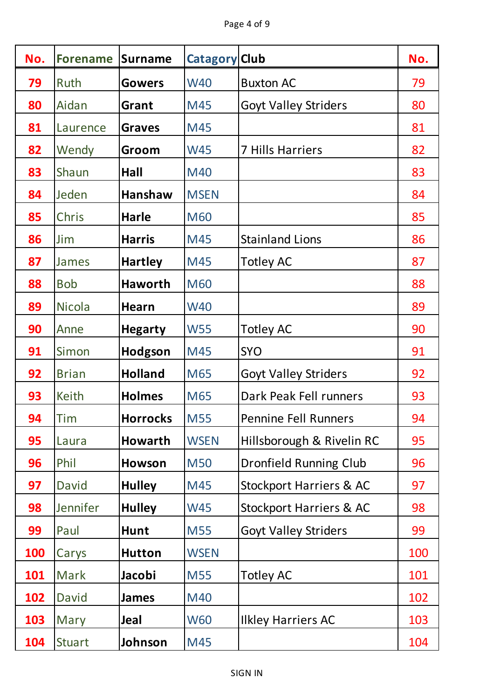| No.        | <b>Forename</b> | <b>Surname</b>  | <b>Catagory Club</b> |                                    | No. |
|------------|-----------------|-----------------|----------------------|------------------------------------|-----|
| 79         | Ruth            | <b>Gowers</b>   | <b>W40</b>           | <b>Buxton AC</b>                   | 79  |
| 80         | Aidan           | Grant           | M45                  | <b>Goyt Valley Striders</b>        | 80  |
| 81         | Laurence        | <b>Graves</b>   | M45                  |                                    | 81  |
| 82         | Wendy           | Groom           | <b>W45</b>           | <b>7 Hills Harriers</b>            | 82  |
| 83         | Shaun           | Hall            | M40                  |                                    | 83  |
| 84         | Jeden           | <b>Hanshaw</b>  | <b>MSEN</b>          |                                    | 84  |
| 85         | Chris           | <b>Harle</b>    | <b>M60</b>           |                                    | 85  |
| 86         | Jim             | <b>Harris</b>   | M45                  | <b>Stainland Lions</b>             | 86  |
| 87         | James           | <b>Hartley</b>  | M45                  | <b>Totley AC</b>                   | 87  |
| 88         | <b>Bob</b>      | <b>Haworth</b>  | <b>M60</b>           |                                    | 88  |
| 89         | <b>Nicola</b>   | <b>Hearn</b>    | <b>W40</b>           |                                    | 89  |
| 90         | Anne            | <b>Hegarty</b>  | <b>W55</b>           | <b>Totley AC</b>                   | 90  |
| 91         | Simon           | Hodgson         | M45                  | <b>SYO</b>                         | 91  |
| 92         | <b>Brian</b>    | <b>Holland</b>  | M65                  | <b>Goyt Valley Striders</b>        | 92  |
| 93         | <b>Keith</b>    | <b>Holmes</b>   | M65                  | Dark Peak Fell runners             | 93  |
| 94         | Tim             | <b>Horrocks</b> | <b>M55</b>           | <b>Pennine Fell Runners</b>        | 94  |
| 95         | Laura           | <b>Howarth</b>  | <b>WSEN</b>          | Hillsborough & Rivelin RC          | 95  |
| 96         | Phil            | Howson          | <b>M50</b>           | <b>Dronfield Running Club</b>      | 96  |
| 97         | <b>David</b>    | <b>Hulley</b>   | M45                  | <b>Stockport Harriers &amp; AC</b> | 97  |
| 98         | Jennifer        | <b>Hulley</b>   | <b>W45</b>           | <b>Stockport Harriers &amp; AC</b> | 98  |
| 99         | Paul            | <b>Hunt</b>     | <b>M55</b>           | <b>Goyt Valley Striders</b>        | 99  |
| <b>100</b> | Carys           | <b>Hutton</b>   | <b>WSEN</b>          |                                    | 100 |
| 101        | <b>Mark</b>     | Jacobi          | <b>M55</b>           | <b>Totley AC</b>                   | 101 |
| 102        | <b>David</b>    | <b>James</b>    | M40                  |                                    | 102 |
| 103        | Mary            | Jeal            | <b>W60</b>           | <b>Ilkley Harriers AC</b>          | 103 |
| 104        | <b>Stuart</b>   | Johnson         | M45                  |                                    | 104 |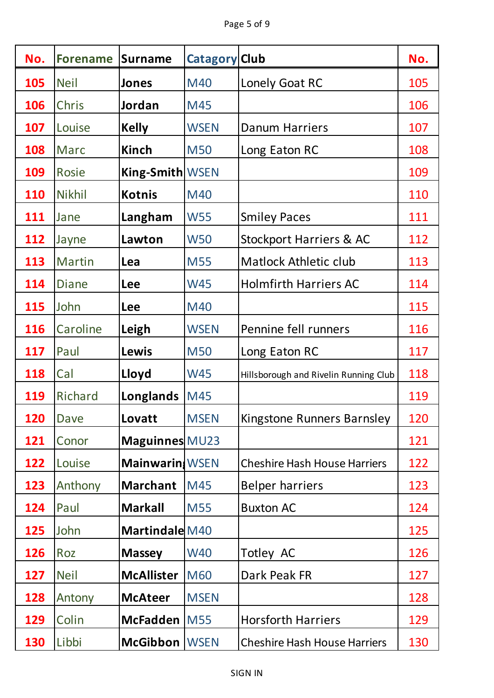| No.        | <b>Forename</b> | <b>Surname</b>        | <b>Catagory Club</b> |                                       | No. |
|------------|-----------------|-----------------------|----------------------|---------------------------------------|-----|
| 105        | <b>Neil</b>     | <b>Jones</b>          | M40                  | Lonely Goat RC                        | 105 |
| 106        | <b>Chris</b>    | Jordan                | M45                  |                                       | 106 |
| 107        | Louise          | <b>Kelly</b>          | <b>WSEN</b>          | <b>Danum Harriers</b>                 | 107 |
| 108        | <b>Marc</b>     | Kinch                 | <b>M50</b>           | Long Eaton RC                         | 108 |
| <b>109</b> | Rosie           | King-Smith WSEN       |                      |                                       | 109 |
| <b>110</b> | <b>Nikhil</b>   | <b>Kotnis</b>         | M40                  |                                       | 110 |
| 111        | Jane            | Langham               | <b>W55</b>           | <b>Smiley Paces</b>                   | 111 |
| 112        | Jayne           | Lawton                | <b>W50</b>           | <b>Stockport Harriers &amp; AC</b>    | 112 |
| 113        | <b>Martin</b>   | Lea                   | <b>M55</b>           | <b>Matlock Athletic club</b>          | 113 |
| 114        | <b>Diane</b>    | <b>Lee</b>            | <b>W45</b>           | <b>Holmfirth Harriers AC</b>          | 114 |
| 115        | John            | Lee                   | M40                  |                                       | 115 |
| 116        | Caroline        | Leigh                 | <b>WSEN</b>          | Pennine fell runners                  | 116 |
| 117        | Paul            | <b>Lewis</b>          | <b>M50</b>           | Long Eaton RC                         | 117 |
| 118        | Cal             | Lloyd                 | <b>W45</b>           | Hillsborough and Rivelin Running Club | 118 |
| 119        | Richard         | Longlands             | M45                  |                                       | 119 |
| 120        | <b>Dave</b>     | Lovatt                | <b>MSEN</b>          | Kingstone Runners Barnsley            | 120 |
| 121        | Conor           | Maguinnes MU23        |                      |                                       | 121 |
| 122        | Louise          | <b>Mainwarin</b> WSEN |                      | <b>Cheshire Hash House Harriers</b>   | 122 |
| 123        | Anthony         | <b>Marchant</b>       | M45                  | <b>Belper harriers</b>                | 123 |
| 124        | Paul            | <b>Markall</b>        | <b>M55</b>           | <b>Buxton AC</b>                      | 124 |
| 125        | John            | Martindale M40        |                      |                                       | 125 |
| 126        | Roz             | <b>Massey</b>         | <b>W40</b>           | Totley AC                             | 126 |
| 127        | <b>Neil</b>     | <b>McAllister</b>     | <b>M60</b>           | Dark Peak FR                          | 127 |
| 128        | Antony          | <b>McAteer</b>        | <b>MSEN</b>          |                                       | 128 |
| 129        | Colin           | <b>McFadden</b>       | <b>M55</b>           | <b>Horsforth Harriers</b>             | 129 |
| <b>130</b> | Libbi           | <b>McGibbon</b>       | <b>WSEN</b>          | <b>Cheshire Hash House Harriers</b>   | 130 |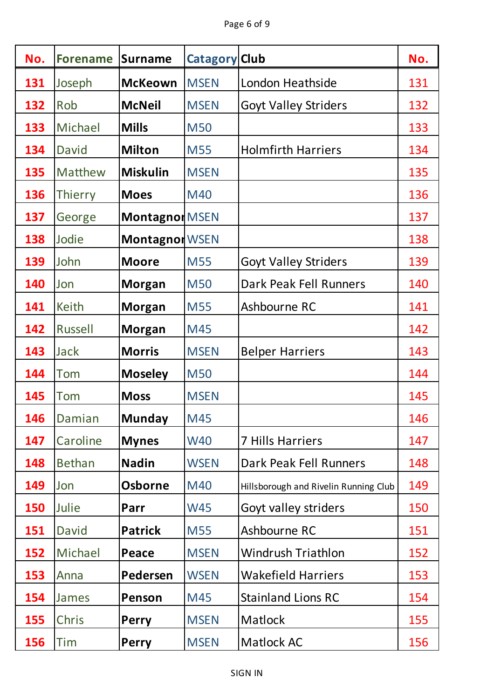| No.        | <b>Forename</b> | <b>Surname</b>        | <b>Catagory Club</b> |                                       | No. |
|------------|-----------------|-----------------------|----------------------|---------------------------------------|-----|
| 131        | Joseph          | <b>McKeown</b>        | <b>MSEN</b>          | London Heathside                      | 131 |
| 132        | Rob             | <b>McNeil</b>         | <b>MSEN</b>          | <b>Goyt Valley Striders</b>           | 132 |
| 133        | Michael         | <b>Mills</b>          | <b>M50</b>           |                                       | 133 |
| 134        | <b>David</b>    | <b>Milton</b>         | <b>M55</b>           | <b>Holmfirth Harriers</b>             | 134 |
| 135        | Matthew         | <b>Miskulin</b>       | <b>MSEN</b>          |                                       | 135 |
| 136        | <b>Thierry</b>  | <b>Moes</b>           | M40                  |                                       | 136 |
| 137        | George          | Montagnon MSEN        |                      |                                       | 137 |
| 138        | Jodie           | <b>Montagnon WSEN</b> |                      |                                       | 138 |
| 139        | John            | <b>Moore</b>          | <b>M55</b>           | <b>Goyt Valley Striders</b>           | 139 |
| 140        | Jon             | <b>Morgan</b>         | <b>M50</b>           | Dark Peak Fell Runners                | 140 |
| 141        | <b>Keith</b>    | <b>Morgan</b>         | <b>M55</b>           | Ashbourne RC                          | 141 |
| 142        | <b>Russell</b>  | <b>Morgan</b>         | M45                  |                                       | 142 |
| 143        | <b>Jack</b>     | <b>Morris</b>         | <b>MSEN</b>          | <b>Belper Harriers</b>                | 143 |
| 144        | Tom             | <b>Moseley</b>        | <b>M50</b>           |                                       | 144 |
| 145        | Tom             | <b>Moss</b>           | <b>MSEN</b>          |                                       | 145 |
| 146        | Damian          | <b>Munday</b>         | M45                  |                                       | 146 |
| 147        | Caroline        | <b>Mynes</b>          | <b>W40</b>           | <b>7 Hills Harriers</b>               | 147 |
| 148        | <b>Bethan</b>   | <b>Nadin</b>          | <b>WSEN</b>          | Dark Peak Fell Runners                | 148 |
| 149        | Jon             | <b>Osborne</b>        | M40                  | Hillsborough and Rivelin Running Club | 149 |
| <b>150</b> | Julie           | Parr                  | <b>W45</b>           | Goyt valley striders                  | 150 |
| 151        | <b>David</b>    | <b>Patrick</b>        | <b>M55</b>           | Ashbourne RC                          | 151 |
| 152        | Michael         | Peace                 | <b>MSEN</b>          | Windrush Triathlon                    | 152 |
| 153        | Anna            | Pedersen              | <b>WSEN</b>          | <b>Wakefield Harriers</b>             | 153 |
| 154        | James           | Penson                | M45                  | <b>Stainland Lions RC</b>             | 154 |
| 155        | Chris           | <b>Perry</b>          | <b>MSEN</b>          | Matlock                               | 155 |
| 156        | Tim             | <b>Perry</b>          | <b>MSEN</b>          | <b>Matlock AC</b>                     | 156 |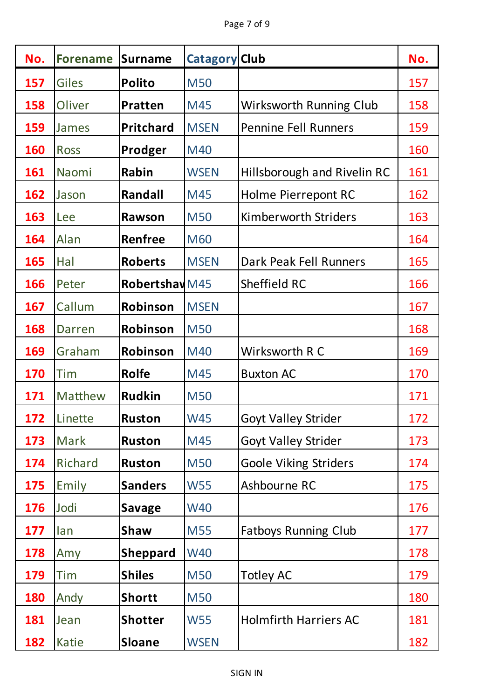| No.        | <b>Forename</b> | <b>Surname</b>            | <b>Catagory Club</b> |                              | No. |
|------------|-----------------|---------------------------|----------------------|------------------------------|-----|
| 157        | <b>Giles</b>    | <b>Polito</b>             | <b>M50</b>           |                              | 157 |
| 158        | Oliver          | Pratten                   | M45                  | Wirksworth Running Club      | 158 |
| 159        | James           | Pritchard                 | <b>MSEN</b>          | <b>Pennine Fell Runners</b>  | 159 |
| <b>160</b> | <b>Ross</b>     | Prodger                   | M40                  |                              | 160 |
| 161        | Naomi           | Rabin                     | <b>WSEN</b>          | Hillsborough and Rivelin RC  | 161 |
| 162        | Jason           | <b>Randall</b>            | M45                  | <b>Holme Pierrepont RC</b>   | 162 |
| 163        | Lee             | Rawson                    | <b>M50</b>           | <b>Kimberworth Striders</b>  | 163 |
| 164        | Alan            | Renfree                   | <b>M60</b>           |                              | 164 |
| 165        | Hal             | <b>Roberts</b>            | <b>MSEN</b>          | Dark Peak Fell Runners       | 165 |
| 166        | Peter           | Robertshav <sub>M45</sub> |                      | Sheffield RC                 | 166 |
| 167        | Callum          | Robinson                  | <b>MSEN</b>          |                              | 167 |
| 168        | Darren          | Robinson                  | <b>M50</b>           |                              | 168 |
| 169        | Graham          | Robinson                  | M40                  | Wirksworth R C               | 169 |
| 170        | Tim             | Rolfe                     | M45                  | <b>Buxton AC</b>             | 170 |
| 171        | Matthew         | <b>Rudkin</b>             | <b>M50</b>           |                              | 171 |
| 172        | Linette         | <b>Ruston</b>             | <b>W45</b>           | <b>Goyt Valley Strider</b>   | 172 |
| 173        | Mark            | <b>Ruston</b>             | M45                  | <b>Goyt Valley Strider</b>   | 173 |
| 174        | Richard         | <b>Ruston</b>             | <b>M50</b>           | <b>Goole Viking Striders</b> | 174 |
| 175        | Emily           | <b>Sanders</b>            | <b>W55</b>           | Ashbourne RC                 | 175 |
| <b>176</b> | Jodi            | <b>Savage</b>             | <b>W40</b>           |                              | 176 |
| 177        | lan             | <b>Shaw</b>               | <b>M55</b>           | <b>Fatboys Running Club</b>  | 177 |
| <b>178</b> | Amy             | <b>Sheppard</b>           | <b>W40</b>           |                              | 178 |
| <b>179</b> | Tim             | <b>Shiles</b>             | <b>M50</b>           | <b>Totley AC</b>             | 179 |
| <b>180</b> | Andy            | <b>Shortt</b>             | <b>M50</b>           |                              | 180 |
| 181        | Jean            | <b>Shotter</b>            | <b>W55</b>           | <b>Holmfirth Harriers AC</b> | 181 |
| 182        | Katie           | <b>Sloane</b>             | <b>WSEN</b>          |                              | 182 |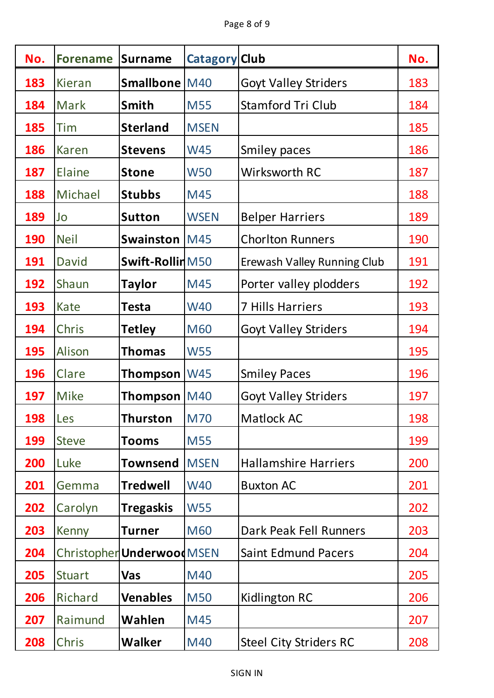| No.        | <b>Forename</b> | <b>Surname</b>             | <b>Catagory Club</b> |                               | No. |
|------------|-----------------|----------------------------|----------------------|-------------------------------|-----|
| 183        | <b>Kieran</b>   | Smallbone M40              |                      | <b>Goyt Valley Striders</b>   | 183 |
| 184        | <b>Mark</b>     | <b>Smith</b>               | <b>M55</b>           | <b>Stamford Tri Club</b>      | 184 |
| 185        | Tim             | <b>Sterland</b>            | <b>MSEN</b>          |                               | 185 |
| 186        | <b>Karen</b>    | <b>Stevens</b>             | <b>W45</b>           | Smiley paces                  | 186 |
| 187        | Elaine          | <b>Stone</b>               | <b>W50</b>           | <b>Wirksworth RC</b>          | 187 |
| 188        | Michael         | <b>Stubbs</b>              | M45                  |                               | 188 |
| 189        | Jo              | <b>Sutton</b>              | <b>WSEN</b>          | <b>Belper Harriers</b>        | 189 |
| <b>190</b> | <b>Neil</b>     | <b>Swainston</b>           | <b>M45</b>           | <b>Chorlton Runners</b>       | 190 |
| 191        | <b>David</b>    | Swift-RollinM50            |                      | Erewash Valley Running Club   | 191 |
| 192        | Shaun           | <b>Taylor</b>              | M45                  | Porter valley plodders        | 192 |
| 193        | Kate            | <b>Testa</b>               | <b>W40</b>           | <b>7 Hills Harriers</b>       | 193 |
| 194        | Chris           | <b>Tetley</b>              | <b>M60</b>           | <b>Goyt Valley Striders</b>   | 194 |
| <b>195</b> | Alison          | <b>Thomas</b>              | <b>W55</b>           |                               | 195 |
| 196        | Clare           | Thompson                   | <b>W45</b>           | <b>Smiley Paces</b>           | 196 |
| 197        | <b>Mike</b>     | Thompson                   | <b>M40</b>           | <b>Goyt Valley Striders</b>   | 197 |
| 198        | Les             | <b>Thurston</b>            | <b>M70</b>           | Matlock AC                    | 198 |
| <b>199</b> | <b>Steve</b>    | Tooms                      | <b>M55</b>           |                               | 199 |
| <b>200</b> | Luke            | Townsend                   | <b>MSEN</b>          | <b>Hallamshire Harriers</b>   | 200 |
| 201        | Gemma           | <b>Tredwell</b>            | <b>W40</b>           | <b>Buxton AC</b>              | 201 |
| 202        | Carolyn         | <b>Tregaskis</b>           | <b>W55</b>           |                               | 202 |
| 203        | Kenny           | <b>Turner</b>              | <b>M60</b>           | Dark Peak Fell Runners        | 203 |
| 204        |                 | Christopher Underwood MSEN |                      | <b>Saint Edmund Pacers</b>    | 204 |
| 205        | <b>Stuart</b>   | <b>Vas</b>                 | M40                  |                               | 205 |
| 206        | Richard         | <b>Venables</b>            | <b>M50</b>           | Kidlington RC                 | 206 |
| 207        | Raimund         | Wahlen                     | M45                  |                               | 207 |
| 208        | Chris           | <b>Walker</b>              | M40                  | <b>Steel City Striders RC</b> | 208 |